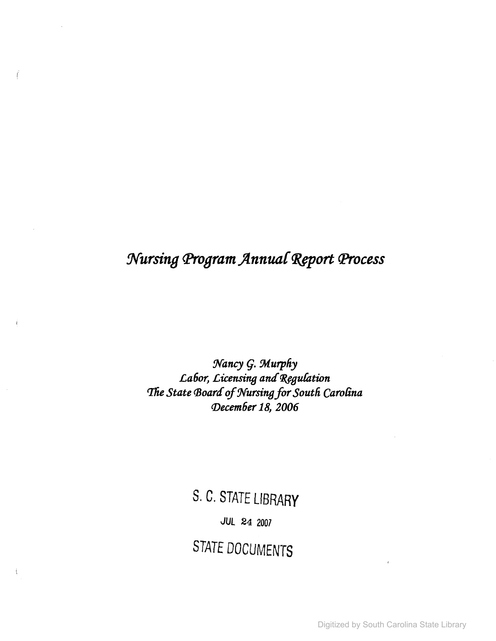### *Xursing cp,ogram ftnnua{* ~port *fProcess*

Ï

 $\langle$ 

 $N$ ancy *G. Murphy* Labor, Licensing and Regulation **The State Board of Nursing for South Carolina** *(])ecem6er* 18, *2006*

> S. C. STATE UBRARY *JUL* 24 2007 STATE DOCUMENTS

> > Digitized by South Carolina State Library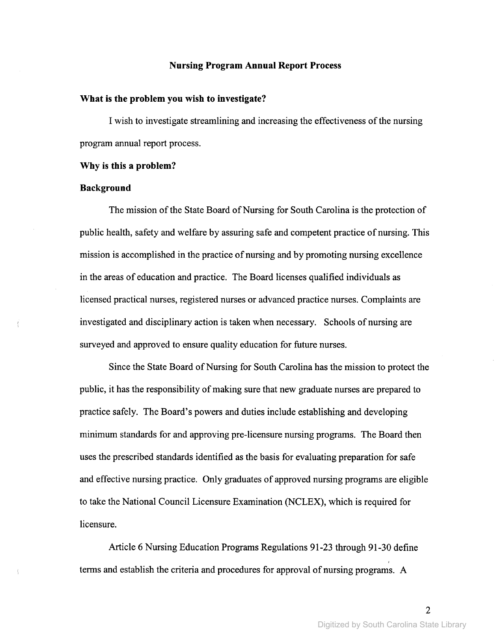### **Nursing Program Annual Report Process**

### **What is the problem you wish to investigate?**

I wish to investigate streamlining and increasing the effectiveness ofthe nursing program annual report process.

### **Why is this a problem?**

### **Background**

 $\{$ 

The mission of the State Board of Nursing for South Carolina is the protection of public health, safety and welfare by assuring safe and competent practice of nursing. This mission is accomplished in the practice of nursing and by promoting nursing excellence in the areas of education and practice. The Board licenses qualified individuals as licensed practical nurses, registered nurses or advanced practice nurses. Complaints are investigated and disciplinary action is taken when necessary. Schools of nursing are surveyed and approved to ensure quality education for future nurses.

Since the State Board of Nursing for South Carolina has the mission to protect the public, it has the responsibility of making sure that new graduate nurses are prepared to practice safely. The Board's powers and duties include establishing and developing minimum standards for and approving pre-licensure nursing programs. The Board then uses the prescribed standards identified as the basis for evaluating preparation for safe and effective nursing practice. Only graduates of approved nursing programs are eligible to take the National Council Licensure Examination (NCLEX), which is required for licensure.

Article 6 Nursing Education Programs Regulations 91-23 through 91-30 define terms and establish the criteria and procedures for approval of nursing programs. A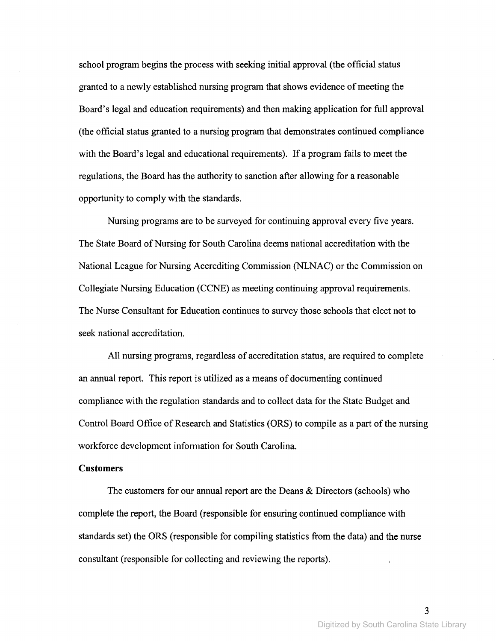school program begins the process with seeking initial approval (the official status granted to a newly established nursing program that shows evidence ofmeeting the Board's legal and education requirements) and then making application for full approval (the official status granted to a nursing program that demonstrates continued compliance with the Board's legal and educational requirements). If a program fails to meet the regulations, the Board has the authority to sanction after allowing for a reasonable opportunity to comply with the standards.

Nursing programs are to be surveyed for continuing approval every five years. The State Board of Nursing for South Carolina deems national accreditation with the National League for Nursing Accrediting Commission (NLNAC) or the Commission on Collegiate Nursing Education (CCNE) as meeting continuing approval requirements. The Nurse Consultant for Education continues to survey those schools that elect not to seek national accreditation.

All nursing programs, regardless of accreditation status, are required to complete an annual report. This report is utilized as a means of documenting continued compliance with the regulation standards and to collect data for the State Budget and Control Board Office of Research and Statistics (ORS) to compile as a part of the nursing workforce development information for South Carolina.

### **Customers**

The customers for our annual report are the Deans & Directors (schools) who complete the report, the Board (responsible for ensuring continued compliance with standards set) the ORS (responsible for compiling statistics from the data) and the nurse consultant (responsible for collecting and reviewing the reports).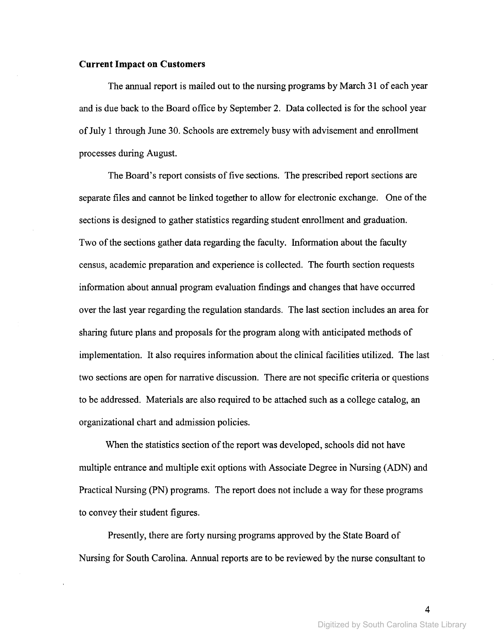### **Current Impact on Customers**

The annual report is mailed out to the nursing programs by March 31 of each year and is due back to the Board office by September 2. Data collected is for the school year ofJuly 1 through June 30. Schools are extremely busy with advisement and enrollment processes during August.

The Board's report consists of five sections. The prescribed report sections are separate files and cannot be linked together to allow for electronic exchange. One of the sections is designed to gather statistics regarding student enrollment and graduation. Two of the sections gather data regarding the faculty. Information about the faculty census, academic preparation and experience is collected. The fourth section requests information about annual program evaluation findings and changes that have occurred over the last year regarding the regulation standards. The last section includes an area for sharing future plans and proposals for the program along with anticipated methods of implementation. It also requires information about the clinical facilities utilized. The last two sections are open for narrative discussion. There are not specific criteria or questions to be addressed. Materials are also required to be attached such as a college catalog, an organizational chart and admission policies.

When the statistics section of the report was developed, schools did not have multiple entrance and multiple exit options with Associate Degree in Nursing (ADN) and Practical Nursing (PN) programs. The report does not include a way for these programs to convey their student figures.

Presently, there are forty nursing programs approved by the State Board of Nursing for South Carolina. Annual reports are to be reviewed by the nurse consultant to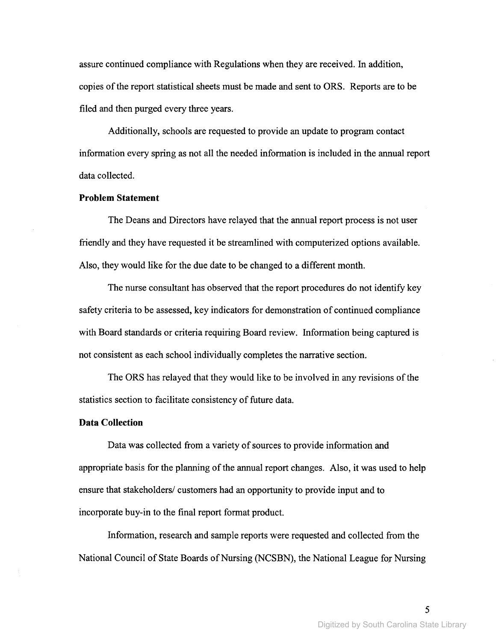assure continued compliance with Regulations when they are received. In addition, copies of the report statistical sheets must be made and sent to ORS. Reports are to be filed and then purged every three years.

Additionally, schools are requested to provide an update to program contact information every spring as not all the needed information is included in the annual report data collected.

### **Problem Statement**

The Deans and Directors have relayed that the annual report process is not user friendly and they have requested it be streamlined with computerized options available. Also, they would like for the due date to be changed to a different month.

The nurse consultant has observed that the report procedures do not identify key safety criteria to be assessed, key indicators for demonstration of continued compliance with Board standards or criteria requiring Board review. Information being captured is not consistent as each school individually completes the narrative section.

The ORS has relayed that they would like to be involved in any revisions of the statistics section to facilitate consistency of future data.

### **Data Collection**

Data was collected from a variety of sources to provide information and appropriate basis for the planning of the annual report changes. Also, it was used to help ensure that stakeholders/ customers had an opportunity to provide input and to incorporate buy-in to the final report format product.

Information, research and sample reports were requested and collected from the National Council of State Boards of Nursing (NCSBN), the National League for Nursing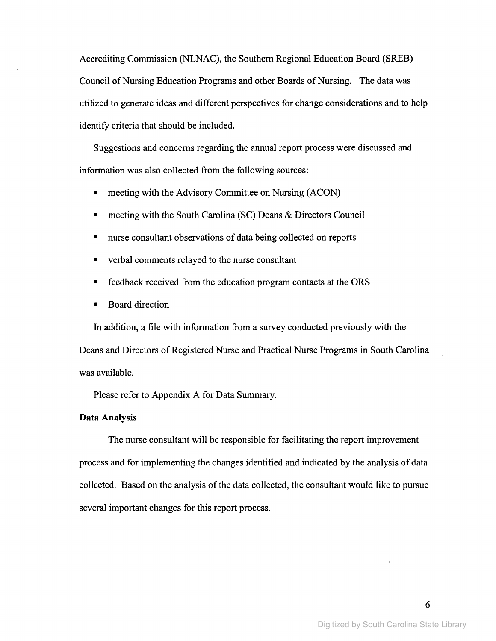Accrediting Commission (NLNAC), the Southern Regional Education Board (SREB) Council of Nursing Education Programs and other Boards of Nursing. The data was utilized to generate ideas and different perspectives for change considerations and to help identify criteria that should be included.

Suggestions and concerns regarding the annual report process were discussed and information was also collected from the following sources:

- meeting with the Advisory Committee on Nursing (ACON)
- meeting with the South Carolina (SC) Deans & Directors Council
- nurse consultant observations of data being collected on reports
- verbal comments relayed to the nurse consultant
- feedback received from the education program contacts at the ORS
- Board direction

In addition, a file with information from a survey conducted previously with the Deans and Directors of Registered Nurse and Practical Nurse Programs in South Carolina was available.

Please refer to Appendix A for Data Summary.

### **Data Analysis**

The nurse consultant will be responsible for facilitating the report improvement process and for implementing the changes identified and indicated by the analysis of data collected. Based on the analysis of the data collected, the consultant would like to pursue several important changes for this report process.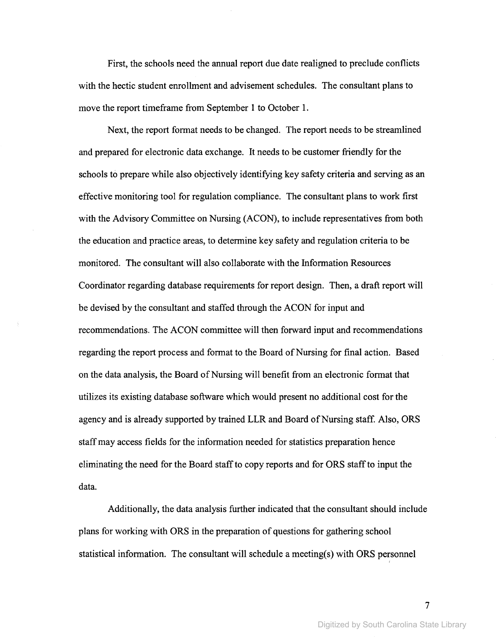First, the schools need the annual report due date realigned to preclude conflicts with the hectic student enrollment and advisement schedules. The consultant plans to move the report timeframe from September 1 to October 1.

Next, the report format needs to be changed. The report needs to be streamlined and prepared for electronic data exchange. It needs to be customer friendly for the schools to prepare while also objectively identifying key safety criteria and serving as an effective monitoring tool for regulation compliance. The consultant plans to work first with the Advisory Committee on Nursing (ACON), to include representatives from both the education and practice areas, to determine key safety and regulation criteria to be monitored. The consultant will also collaborate with the Information Resources Coordinator regarding database requirements for report design. Then, a draft report will be devised by the consultant and staffed through the ACON for input and recommendations. The ACON committee will then forward input and recommendations regarding the report process and format to the Board of Nursing for final action. Based on the data analysis, the Board of Nursing will benefit from an electronic format that utilizes its existing database software which would present no additional cost for the agency and is already supported by trained LLR and Board of Nursing staff. Also, ORS staffmay access fields for the information needed for statistics preparation hence eliminating the need for the Board staffto copy reports and for ORS staffto input the data.

Additionally, the data analysis further indicated that the consultant should include plans for working with ORS in the preparation of questions for gathering school statistical information. The consultant will schedule a meeting(s) with ORS personnel

I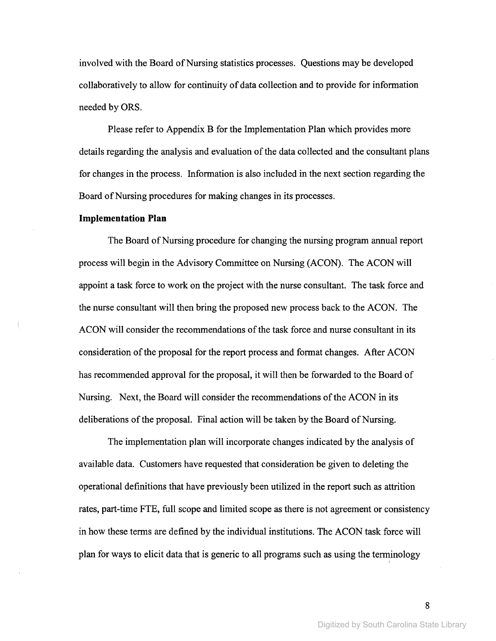involved with the Board of Nursing statistics processes. Questions may be developed collaboratively to allow for continuity of data collection and to provide for information needed by ORS.

Please refer to Appendix B for the Implementation Plan which provides more details regarding the analysis and evaluation of the data collected and the consultant plans for changes in the process. Information is also included in the next section regarding the Board of Nursing procedures for making changes in its processes.

#### **Implementation Plan**

The Board of Nursing procedure for changing the nursing program annual report process will begin in the Advisory Committee on Nursing (ACON). The ACON will appoint a task force to work on the project with the nurse consultant. The task force and the nurse consultant will then bring the proposed new process back to the ACON. The ACON will consider the recommendations of the task force and nurse consultant in its consideration ofthe proposal for the report process and format changes. After ACON has recommended approval for the proposal, it will then be forwarded to the Board of Nursing. Next, the Board will consider the recommendations of the ACON in its deliberations of the proposal. Final action will be taken by the Board of Nursing.

The implementation plan will incorporate changes indicated by the analysis of available data. Customers have requested that consideration be given to deleting the operational definitions that have previously been utilized in the report such as attrition rates, part-time FTE, full scope and limited scope as there is not agreement or consistency in how these terms are defined by the individual institutions. The ACON task force will plan for ways to elicit data that is generic to all programs such as using the terminology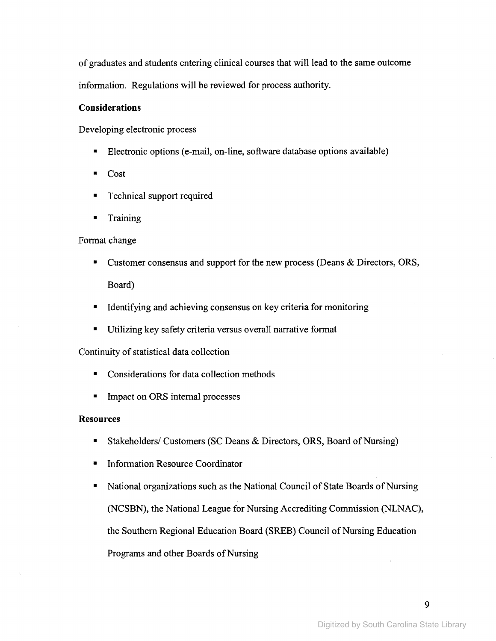of graduates and students entering clinical courses that will lead to the same outcome information. Regulations will be reviewed for process authority.

### **Considerations**

Developing electronic process

- Electronic options (e-mail, on-line, software database options available)
- Cost
- Technical support required
- **Training**

### Format change

- Customer consensus and support for the new process (Deans & Directors, ORS, Board)
- Identifying and achieving consensus on key criteria for monitoring
- Utilizing key safety criteria versus overall narrative format

Continuity of statistical data collection

- Considerations for data collection methods
- Impact on ORS internal processes

### **Resources**

- Stakeholders/ Customers (SC Deans & Directors, ORS, Board of Nursing)
- Information Resource Coordinator
- National organizations such as the National Council of State Boards of Nursing (NCSBN), the National League for Nursing Accrediting Commission (NLNAC), the Southern Regional Education Board (SREB) Council of Nursing Education Programs and other Boards of Nursing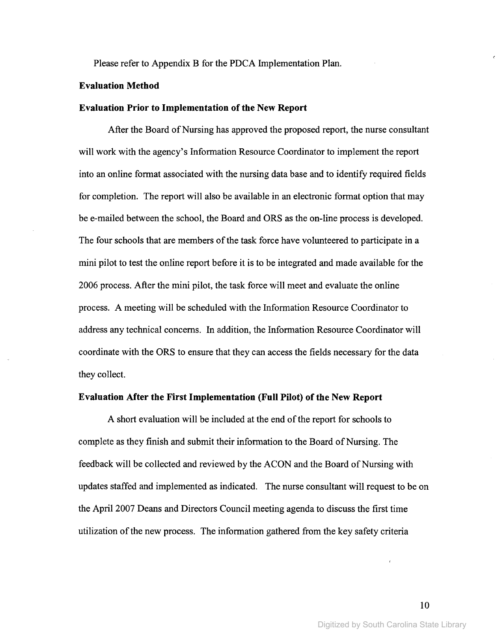Please refer to Appendix B for the PDCA Implementation Plan.

### Evaluation Method

### **Evaluation Prior to Implementation of the New Report**

After the Board of Nursing has approved the proposed report, the nurse consultant will work with the agency's Information Resource Coordinator to implement the report into an online format associated with the nursing data base and to identify required fields for completion. The report will also be available in an electronic format option that may be e-mailed between the school, the Board and ORS as the on-line process is developed. The four schools that are members of the task force have volunteered to participate in a mini pilot to test the online report before it is to be integrated and made available for the 2006 process. After the mini pilot, the task force will meet and evaluate the online process. A meeting will be scheduled with the Information Resource Coordinator to address any technical concerns. In addition, the Information Resource Coordinator will coordinate with the ORS to ensure that they can access the fields necessary for the data they collect.

### Evaluation After the First Implementation (Full Pilot) of the New Report

A short evaluation will be included at the end of the report for schools to complete as they finish and submit their information to the Board of Nursing. The feedback will be collected and reviewed by the ACON and the Board of Nursing with updates staffed and implemented as indicated. The nurse consultant will request to be on the April 2007 Deans and Directors Council meeting agenda to discuss the first time utilization ofthe new process. The information gathered from the key safety criteria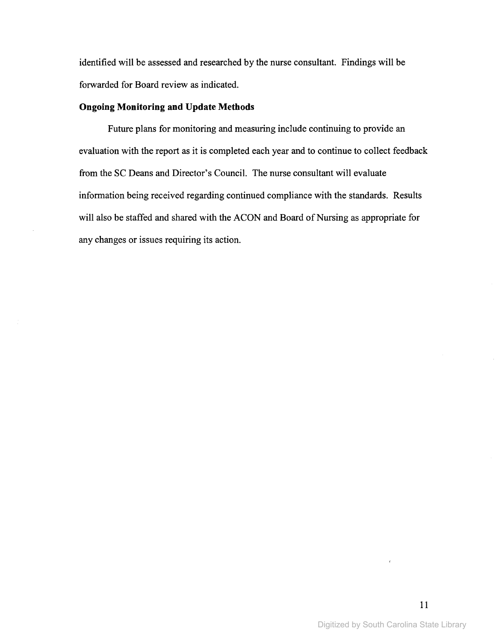identified will be assessed and researched by the nurse consultant. Findings will be forwarded for Board review as indicated.

### **Ongoing Monitoring and Update Methods**

Future plans for monitoring and measuring include continuing to provide an evaluation with the report as it is completed each year and to continue to collect feedback from the SC Deans and Director's Council. The nurse consultant will evaluate information being received regarding continued compliance with the standards. Results will also be staffed and shared with the ACON and Board of Nursing as appropriate for any changes or issues requiring its action.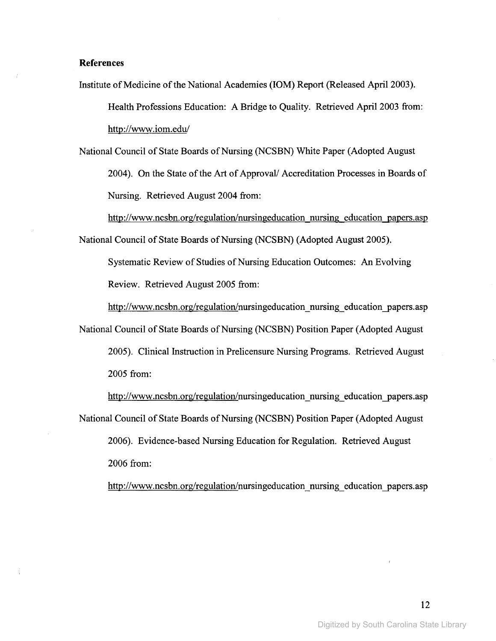### **References**

Institute of Medicine of the National Academies (IOM) Report (Released April 2003). Health Professions Education: A Bridge to Quality. Retrieved April 2003 from: http://www.iom.edu/

National Council of State Boards of Nursing (NCSBN) White Paper (Adopted August 2004). On the State of the Art of Approval/ Accreditation Processes in Boards of Nursing. Retrieved August 2004 from:

http://www.ncsbn.org/regulation/nursingeducation nursing education papers.asp

National Council of State Boards of Nursing (NCSBN) (Adopted August 2005).

Systematic Review of Studies of Nursing Education Outcomes: An Evolving Review. Retrieved August 2005 from:

http://www.ncsbn.org/regulation/nursingeducation\_nursing\_education-papers.asp

National Council of State Boards of Nursing (NCSBN) Position Paper (Adopted August

2005). Clinical Instruction in Prelicensure Nursing Programs. Retrieved August 2005 from:

http://www.ncsbn.org/regulation/nursingeducation\_nursing\_education\_papers.asp National Council of State Boards of Nursing (NCSBN) Position Paper (Adopted August 2006). Evidence-based Nursing Education for Regulation. Retrieved August

2006 from:

http://www.ncsbn.org/regulation/nursingeducation\_nursing\_education\_papers.asp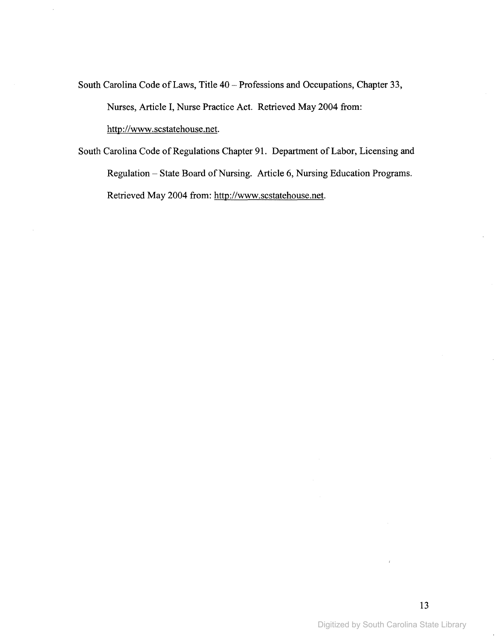South Carolina Code of Laws, Title 40 - Professions and Occupations, Chapter 33, Nurses, Article I, Nurse Practice Act. Retrieved May 2004 from: http://www.scstatehouse.net.

South Carolina Code of Regulations Chapter 91. Department of Labor, Licensing and Regulation - State Board of Nursing. Article 6, Nursing Education Programs. Retrieved May 2004 from: http://www.scstatehouse.net.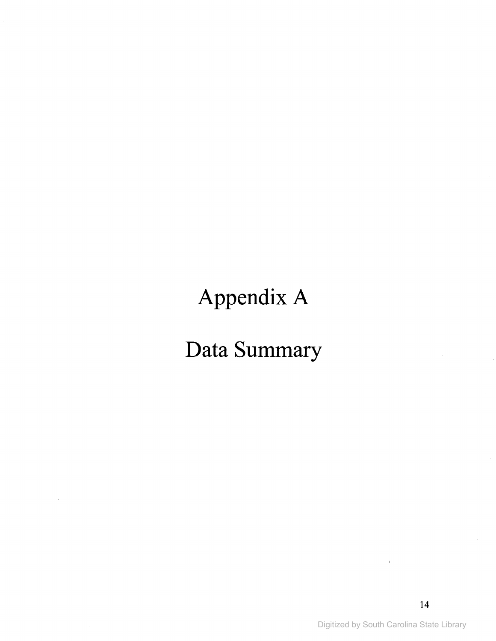## Appendix A

## **Data Summary**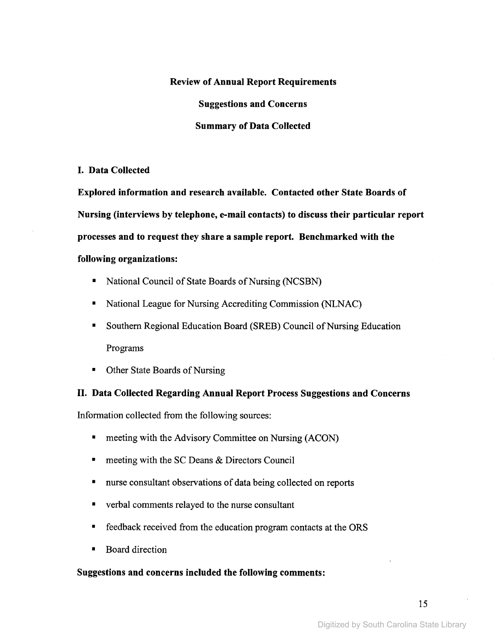### **Review of Annual Report Requirements**

**Suggestions and Concerns**

### **Summary of Data Collected**

### **I. Data Collected**

**Explored information and research available. Contacted other State Boards of Nursing (interviews by telephone, e-mail contacts) to discuss their particular report processes and to request they share a sample report. Benchmarked with the following organizations:**

- National Council of State Boards of Nursing (NCSBN)
- National League for Nursing Accrediting Commission (NLNAC)
- Southern Regional Education Board (SREB) Council of Nursing Education Programs
- Other State Boards of Nursing

### **II. Data Collected Regarding Annual Report Process Suggestions and Concerns**

Information collected from the following sources:

- meeting with the Advisory Committee on Nursing (ACON)
- meeting with the SC Deans & Directors Council
- nurse consultant observations of data being collected on reports
- verbal comments relayed to the nurse consultant
- feedback received from the education program contacts at the ORS
- Board direction

### **Suggestions and concerns included the following comments:**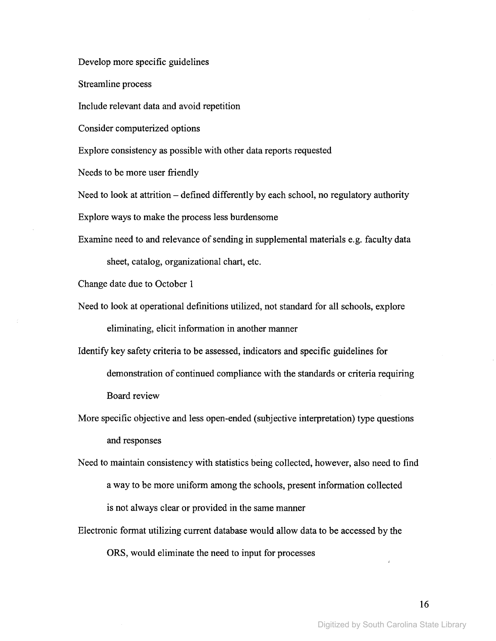Develop more specific guidelines

Streamline process

Include relevant data and avoid repetition

Consider computerized options

Explore consistency as possible with other data reports requested

Needs to be more user friendly

Need to look at attrition – defined differently by each school, no regulatory authority

Explore ways to make the process less burdensome

Examine need to and relevance of sending in supplemental materials e.g. faculty data

sheet, catalog, organizational chart, etc.

Change date due to October I

Need to look at operational definitions utilized, not standard for all schools, explore eliminating, elicit information in another manner

Identify key safety criteria to be assessed, indicators and specific guidelines for demonstration of continued compliance with the standards or criteria requiring Board review

More specific objective and less open-ended (subjective interpretation) type questions and responses

Need to maintain consistency with statistics being collected, however, also need to find a way to be more uniform among the schools, present information collected is not always clear or provided in the same manner

Electronic format utilizing current database would allow data to be accessed by the ORS, would eliminate the need to input for processes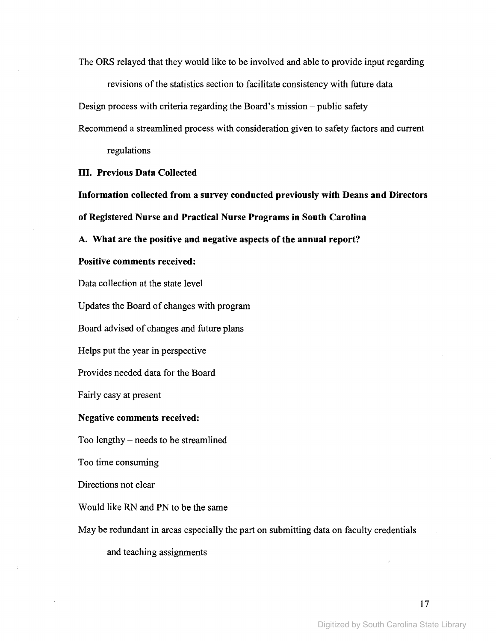The ORS relayed that they would like to be involved and able to provide input regarding

revisions of the statistics section to facilitate consistency with future data

Design process with criteria regarding the Board's mission - public safety

Recommend a streamlined process with consideration given to safety factors and current

regulations

### III. Previous Data Collected

Information collected from a survey conducted previously with Deans and Directors of Registered Nurse and Practical Nurse Programs in South Carolina

A. What are the positive and negative aspects of the annual report?

### Positive comments received:

Data collection at the state level

Updates the Board of changes with program

Board advised of changes and future plans

Helps put the year in perspective

Provides needed data for the Board

Fairly easy at present

### Negative comments received:

Too lengthy - needs to be streamlined

Too time consuming

Directions not clear

Would like RN and PN to be the same

May be redundant in areas especially the part on submitting data on faculty credentials

and teaching assignments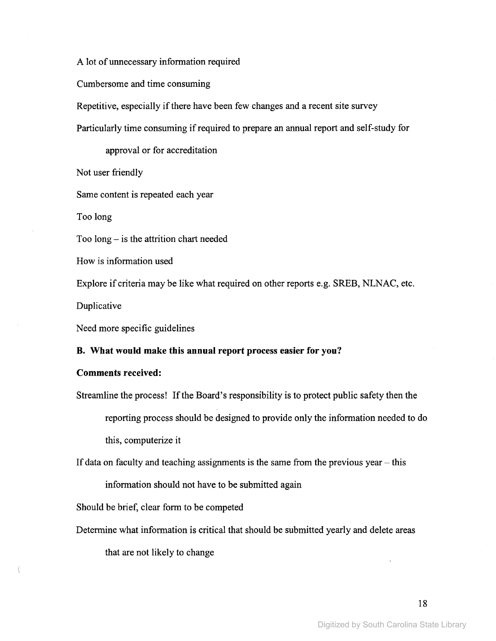A lot of unnecessary information required

Cumbersome and time consuming

Repetitive, especially if there have been few changes and a recent site survey

Particularly time consuming if required to prepare an annual report and self-study for

approval or for accreditation

Not user friendly

Same content is repeated each year

Too long

Too  $\log -$  is the attrition chart needed

How is information used

Explore if criteria may be like what required on other reports e.g. SREB, NLNAC, etc.

Duplicative

ţ

Need more specific guidelines

### **B. What would make this annual report process easier for you?**

### **Comments received:**

Streamline the process! If the Board's responsibility is to protect public safety then the reporting process should be designed to provide only the information needed to do this, computerize it

If data on faculty and teaching assignments is the same from the previous year  $-$  this

information should not have to be submitted again

Should be brief, clear form to be competed

Determine what information is critical that should be submitted yearly and delete areas that are not likely to change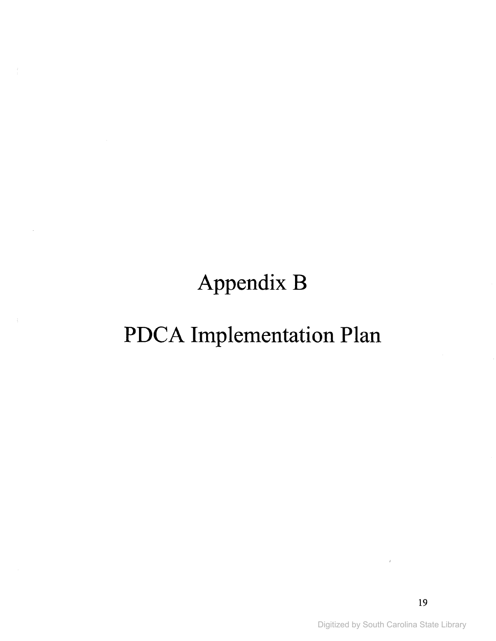**Appendix B**

# **PDCA Implementation Plan**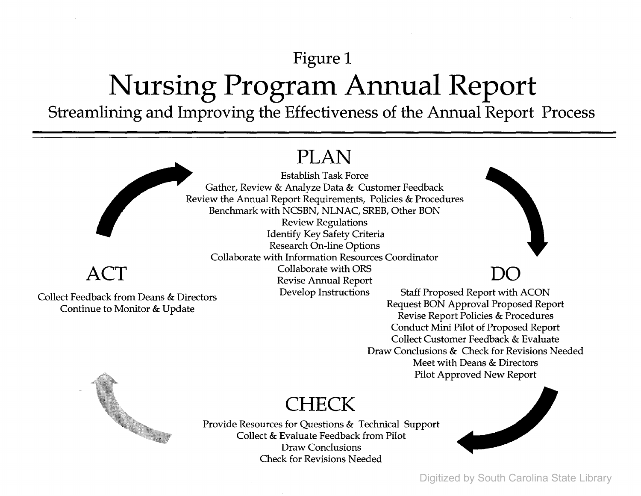## **Figure 1 Nursing Program Annual Report**

**Streamlining and Improving the Effectiveness of the Annual Report Process**

## **PLAN**

### **ACT**

Collect Feedback from Deans & Directors Continue to Monitor & Update

Establish Task Force Gather, Review & Analyze Data & Customer Feedback Review the Annual Report Requirements, Policies & Procedures Benchmark with NCSBN, NLNAC, SREB, Other BON Review Regulations Identify Key Safety Criteria

Research On-line Options Collaborate with Information Resources Coordinator Collaborate with ORS Revise Annual Report Develop Instructions

Staff Proposed Report with ACON Request BON Approval Proposed Report Revise Report Policies & Procedures Conduct Mini Pilot of Proposed Report Collect Customer Feedback & Evaluate Draw Conclusions & Check for Revisions Needed Meet with Deans & Directors Pilot Approved New Report



### **CHECK**

Provide Resources for Questions & Technical Support Collect & Evaluate Feedback from Pilot Draw Conclusions Check for Revisions Needed



**DO**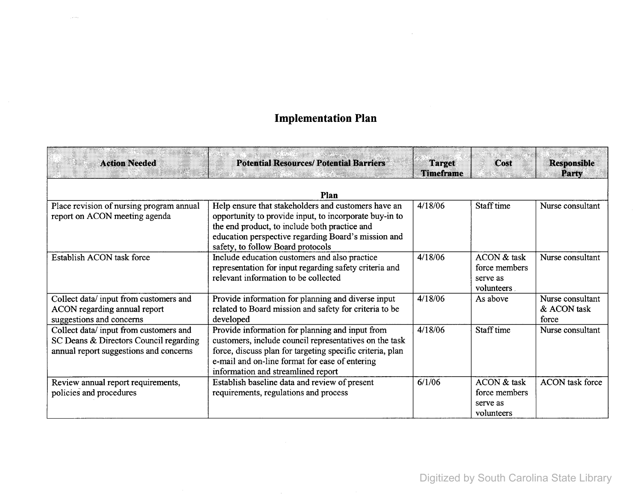### **Implementation Plan**

 $\sim 10^7$ 

| <b>Action Needed</b>                                                                                                      | <b>Potential Resources/ Potential Barriers</b>                                                                                                                                                                                                                 | <b>Target</b><br><b>Timeframe</b> | Cost                                                   | <b>Responsible</b><br>Party              |
|---------------------------------------------------------------------------------------------------------------------------|----------------------------------------------------------------------------------------------------------------------------------------------------------------------------------------------------------------------------------------------------------------|-----------------------------------|--------------------------------------------------------|------------------------------------------|
|                                                                                                                           | Plan                                                                                                                                                                                                                                                           |                                   |                                                        |                                          |
| Place revision of nursing program annual<br>report on ACON meeting agenda                                                 | Help ensure that stakeholders and customers have an<br>opportunity to provide input, to incorporate buy-in to<br>the end product, to include both practice and<br>education perspective regarding Board's mission and<br>safety, to follow Board protocols     | 4/18/06                           | Staff time                                             | Nurse consultant                         |
| Establish ACON task force                                                                                                 | Include education customers and also practice<br>representation for input regarding safety criteria and<br>relevant information to be collected                                                                                                                | 4/18/06                           | ACON & task<br>force members<br>serve as<br>volunteers | Nurse consultant                         |
| Collect data/input from customers and<br>ACON regarding annual report<br>suggestions and concerns                         | Provide information for planning and diverse input<br>related to Board mission and safety for criteria to be<br>developed                                                                                                                                      | 4/18/06                           | As above                                               | Nurse consultant<br>& ACON task<br>force |
| Collect data/input from customers and<br>SC Deans & Directors Council regarding<br>annual report suggestions and concerns | Provide information for planning and input from<br>customers, include council representatives on the task<br>force, discuss plan for targeting specific criteria, plan<br>e-mail and on-line format for ease of entering<br>information and streamlined report | 4/18/06                           | Staff time                                             | Nurse consultant                         |
| Review annual report requirements,<br>policies and procedures                                                             | Establish baseline data and review of present<br>requirements, regulations and process                                                                                                                                                                         | 6/1/06                            | ACON & task<br>force members<br>serve as<br>volunteers | <b>ACON</b> task force                   |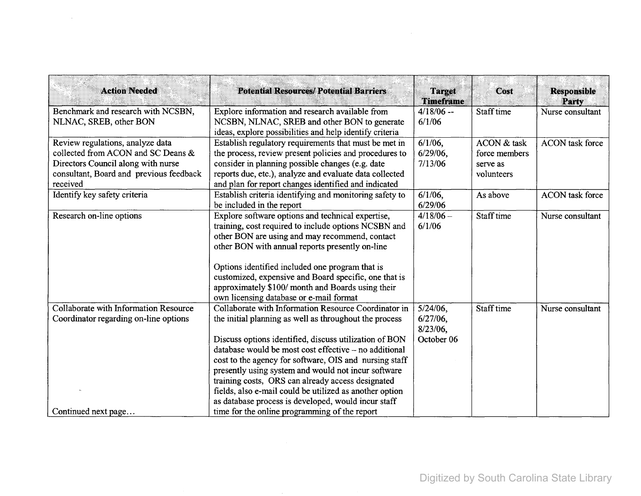| <b>Action Needed</b>                                                                                                                                                | <b>Potential Resources/ Potential Barriers</b>                                                                                                                                                                                                                                                                                                                                                                                                                                                                            | <b>Target</b><br><b>Timeframe</b>                    | Cost                                                   | <b>Responsible</b><br>Party |
|---------------------------------------------------------------------------------------------------------------------------------------------------------------------|---------------------------------------------------------------------------------------------------------------------------------------------------------------------------------------------------------------------------------------------------------------------------------------------------------------------------------------------------------------------------------------------------------------------------------------------------------------------------------------------------------------------------|------------------------------------------------------|--------------------------------------------------------|-----------------------------|
| Benchmark and research with NCSBN,<br>NLNAC, SREB, other BON                                                                                                        | Explore information and research available from<br>NCSBN, NLNAC, SREB and other BON to generate<br>ideas, explore possibilities and help identify criteria                                                                                                                                                                                                                                                                                                                                                                | $4/18/06 -$<br>6/1/06                                | Staff time                                             | Nurse consultant            |
| Review regulations, analyze data<br>collected from ACON and SC Deans &<br>Directors Council along with nurse<br>consultant, Board and previous feedback<br>received | Establish regulatory requirements that must be met in<br>the process, review present policies and procedures to<br>consider in planning possible changes (e.g. date<br>reports due, etc.), analyze and evaluate data collected<br>and plan for report changes identified and indicated                                                                                                                                                                                                                                    | $6/1/06$ ,<br>$6/29/06$ ,<br>7/13/06                 | ACON & task<br>force members<br>serve as<br>volunteers | <b>ACON</b> task force      |
| Identify key safety criteria                                                                                                                                        | Establish criteria identifying and monitoring safety to<br>be included in the report                                                                                                                                                                                                                                                                                                                                                                                                                                      | $6/1/06$ ,<br>6/29/06                                | As above                                               | <b>ACON</b> task force      |
| Research on-line options                                                                                                                                            | Explore software options and technical expertise,<br>training, cost required to include options NCSBN and<br>other BON are using and may recommend, contact<br>other BON with annual reports presently on-line<br>Options identified included one program that is<br>customized, expensive and Board specific, one that is<br>approximately \$100/ month and Boards using their<br>own licensing database or e-mail format                                                                                                | $4/18/06 -$<br>6/1/06                                | Staff time                                             | Nurse consultant            |
| Collaborate with Information Resource<br>Coordinator regarding on-line options                                                                                      | Collaborate with Information Resource Coordinator in<br>the initial planning as well as throughout the process<br>Discuss options identified, discuss utilization of BON<br>database would be most cost effective – no additional<br>cost to the agency for software, OIS and nursing staff<br>presently using system and would not incur software<br>training costs, ORS can already access designated<br>fields, also e-mail could be utilized as another option<br>as database process is developed, would incur staff | $5/24/06$ .<br>$6/27/06$ ,<br>8/23/06,<br>October 06 | Staff time                                             | Nurse consultant            |
| Continued next page                                                                                                                                                 | time for the online programming of the report                                                                                                                                                                                                                                                                                                                                                                                                                                                                             |                                                      |                                                        |                             |

 $\label{eq:2.1} \mathcal{L}(\mathcal{L}(\mathcal{L})) = \mathcal{L}(\mathcal{L}(\mathcal{L})) = \mathcal{L}(\mathcal{L}(\mathcal{L})) = \mathcal{L}(\mathcal{L}(\mathcal{L}))$ 

 $\sim 10^7$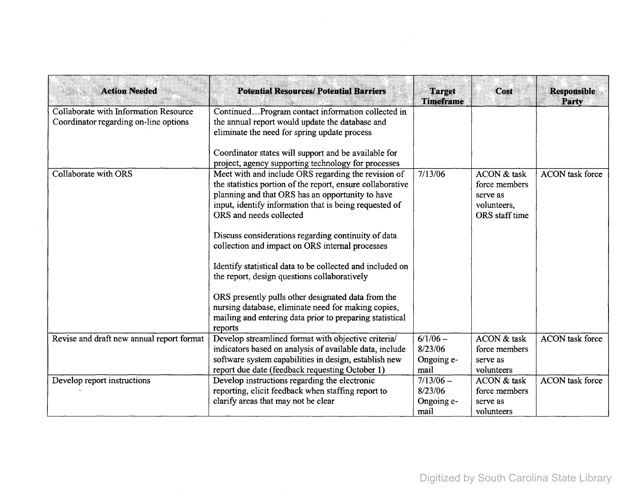| <b>Action Needed</b>                                                           | <b>Potential Resources/Potential Barriers</b>                                                                                                                                                                                                                                                                                                                            | <b>Target</b><br><b>Timeframe</b>            | Cost                                                                      | <b>Responsible</b><br>Party |
|--------------------------------------------------------------------------------|--------------------------------------------------------------------------------------------------------------------------------------------------------------------------------------------------------------------------------------------------------------------------------------------------------------------------------------------------------------------------|----------------------------------------------|---------------------------------------------------------------------------|-----------------------------|
| Collaborate with Information Resource<br>Coordinator regarding on-line options | ContinuedProgram contact information collected in<br>the annual report would update the database and<br>eliminate the need for spring update process<br>Coordinator states will support and be available for                                                                                                                                                             |                                              |                                                                           |                             |
| Collaborate with ORS                                                           | project, agency supporting technology for processes<br>Meet with and include ORS regarding the revision of<br>the statistics portion of the report, ensure collaborative<br>planning and that ORS has an opportunity to have<br>input, identify information that is being requested of<br>ORS and needs collected<br>Discuss considerations regarding continuity of data | 7/13/06                                      | ACON & task<br>force members<br>serve as<br>volunteers,<br>ORS staff time | <b>ACON</b> task force      |
|                                                                                | collection and impact on ORS internal processes<br>Identify statistical data to be collected and included on<br>the report, design questions collaboratively<br>ORS presently pulls other designated data from the                                                                                                                                                       |                                              |                                                                           |                             |
|                                                                                | nursing database, eliminate need for making copies,<br>mailing and entering data prior to preparing statistical<br>reports                                                                                                                                                                                                                                               |                                              |                                                                           |                             |
| Revise and draft new annual report format                                      | Develop streamlined format with objective criteria/<br>indicators based on analysis of available data, include<br>software system capabilities in design, establish new<br>report due date (feedback requesting October 1)                                                                                                                                               | $6/1/06 -$<br>8/23/06<br>Ongoing e-<br>mail  | ACON & task<br>force members<br>serve as<br>volunteers                    | <b>ACON</b> task force      |
| Develop report instructions                                                    | Develop instructions regarding the electronic<br>reporting, elicit feedback when staffing report to<br>clarify areas that may not be clear                                                                                                                                                                                                                               | $7/13/06 -$<br>8/23/06<br>Ongoing e-<br>mail | ACON & task<br>force members<br>serve as<br>volunteers                    | <b>ACON</b> task force      |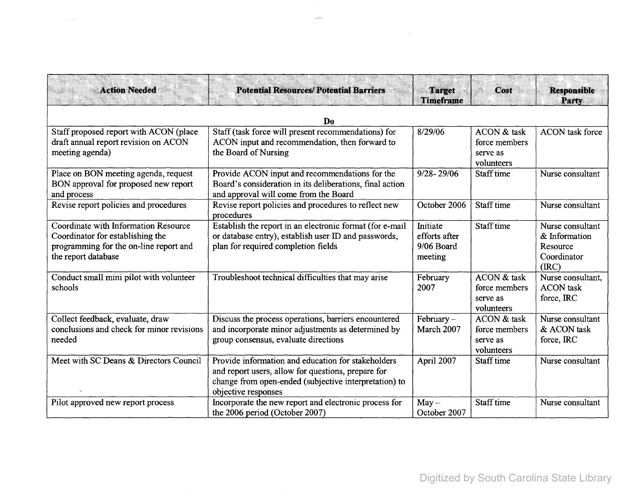| <b>Action Needed</b>                                                                                                                      | <b>Potential Resources/ Potential Barriers</b>                                                                                                                                           | <b>Target</b><br><b>Timeframe</b>                  | Cost                                                   | <b>Responsible</b><br>Party                                           |
|-------------------------------------------------------------------------------------------------------------------------------------------|------------------------------------------------------------------------------------------------------------------------------------------------------------------------------------------|----------------------------------------------------|--------------------------------------------------------|-----------------------------------------------------------------------|
| Do                                                                                                                                        |                                                                                                                                                                                          |                                                    |                                                        |                                                                       |
| Staff proposed report with ACON (place<br>draft annual report revision on ACON<br>meeting agenda)                                         | Staff (task force will present recommendations) for<br>ACON input and recommendation, then forward to<br>the Board of Nursing                                                            | 8/29/06                                            | ACON & task<br>force members<br>serve as<br>volunteers | <b>ACON</b> task force                                                |
| Place on BON meeting agenda, request<br>BON approval for proposed new report<br>and process                                               | Provide ACON input and recommendations for the<br>Board's consideration in its deliberations, final action<br>and approval will come from the Board                                      | $9/28 - 29/06$                                     | Staff time                                             | Nurse consultant                                                      |
| Revise report policies and procedures                                                                                                     | Revise report policies and procedures to reflect new<br>procedures                                                                                                                       | October 2006                                       | Staff time                                             | Nurse consultant                                                      |
| Coordinate with Information Resource<br>Coordinator for establishing the<br>programming for the on-line report and<br>the report database | Establish the report in an electronic format (for e-mail<br>or database entry), establish user ID and passwords,<br>plan for required completion fields                                  | Initiate<br>efforts after<br>9/06 Board<br>meeting | Staff time                                             | Nurse consultant<br>& Information<br>Resource<br>Coordinator<br>(IRC) |
| Conduct small mini pilot with volunteer<br>schools                                                                                        | Troubleshoot technical difficulties that may arise                                                                                                                                       | February<br>2007                                   | ACON & task<br>force members<br>serve as<br>volunteers | Nurse consultant,<br><b>ACON</b> task<br>force, IRC                   |
| Collect feedback, evaluate, draw<br>conclusions and check for minor revisions<br>needed                                                   | Discuss the process operations, barriers encountered<br>and incorporate minor adjustments as determined by<br>group consensus, evaluate directions                                       | February-<br>March 2007                            | ACON & task<br>force members<br>serve as<br>volunteers | Nurse consultant<br>& ACON task<br>force, IRC                         |
| Meet with SC Deans & Directors Council                                                                                                    | Provide information and education for stakeholders<br>and report users, allow for questions, prepare for<br>change from open-ended (subjective interpretation) to<br>objective responses | April 2007                                         | Staff time                                             | Nurse consultant                                                      |
| Pilot approved new report process                                                                                                         | Incorporate the new report and electronic process for<br>the 2006 period (October 2007)                                                                                                  | $May -$<br>October 2007                            | Staff time                                             | Nurse consultant                                                      |

 $\mu$  and  $\mu$ 

 $\mathcal{L}^{\text{max}}_{\text{max}}$  and  $\mathcal{L}^{\text{max}}_{\text{max}}$ 

ji sol